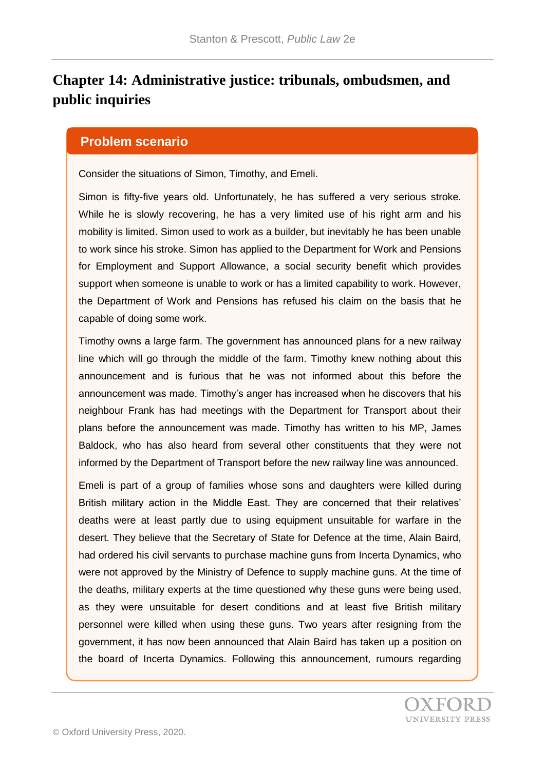# **Chapter 14: Administrative justice: tribunals, ombudsmen, and public inquiries**

#### **Problem scenario**

Consider the situations of Simon, Timothy, and Emeli.

Simon is fifty-five years old. Unfortunately, he has suffered a very serious stroke. While he is slowly recovering, he has a very limited use of his right arm and his mobility is limited. Simon used to work as a builder, but inevitably he has been unable to work since his stroke. Simon has applied to the Department for Work and Pensions for Employment and Support Allowance, a social security benefit which provides support when someone is unable to work or has a limited capability to work. However, the Department of Work and Pensions has refused his claim on the basis that he capable of doing some work.

Timothy owns a large farm. The government has announced plans for a new railway line which will go through the middle of the farm. Timothy knew nothing about this announcement and is furious that he was not informed about this before the announcement was made. Timothy's anger has increased when he discovers that his neighbour Frank has had meetings with the Department for Transport about their plans before the announcement was made. Timothy has written to his MP, James Baldock, who has also heard from several other constituents that they were not informed by the Department of Transport before the new railway line was announced.

Emeli is part of a group of families whose sons and daughters were killed during British military action in the Middle East. They are concerned that their relatives' deaths were at least partly due to using equipment unsuitable for warfare in the desert. They believe that the Secretary of State for Defence at the time, Alain Baird, had ordered his civil servants to purchase machine guns from Incerta Dynamics, who were not approved by the Ministry of Defence to supply machine guns. At the time of the deaths, military experts at the time questioned why these guns were being used, as they were unsuitable for desert conditions and at least five British military personnel were killed when using these guns. Two years after resigning from the government, it has now been announced that Alain Baird has taken up a position on the board of Incerta Dynamics. Following this announcement, rumours regarding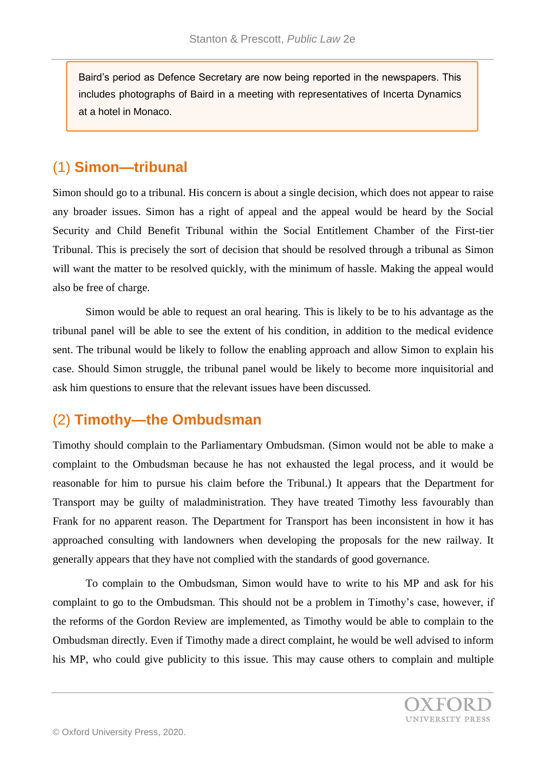Baird's period as Defence Secretary are now being reported in the newspapers. This includes photographs of Baird in a meeting with representatives of Incerta Dynamics at a hotel in Monaco.

## (1) **Simon—tribunal**

Simon should go to a tribunal. His concern is about a single decision, which does not appear to raise any broader issues. Simon has a right of appeal and the appeal would be heard by the Social Security and Child Benefit Tribunal within the Social Entitlement Chamber of the First-tier Tribunal. This is precisely the sort of decision that should be resolved through a tribunal as Simon will want the matter to be resolved quickly, with the minimum of hassle. Making the appeal would also be free of charge.

Simon would be able to request an oral hearing. This is likely to be to his advantage as the tribunal panel will be able to see the extent of his condition, in addition to the medical evidence sent. The tribunal would be likely to follow the enabling approach and allow Simon to explain his case. Should Simon struggle, the tribunal panel would be likely to become more inquisitorial and ask him questions to ensure that the relevant issues have been discussed.

# (2) **Timothy—the Ombudsman**

Timothy should complain to the Parliamentary Ombudsman. (Simon would not be able to make a complaint to the Ombudsman because he has not exhausted the legal process, and it would be reasonable for him to pursue his claim before the Tribunal.) It appears that the Department for Transport may be guilty of maladministration. They have treated Timothy less favourably than Frank for no apparent reason. The Department for Transport has been inconsistent in how it has approached consulting with landowners when developing the proposals for the new railway. It generally appears that they have not complied with the standards of good governance.

To complain to the Ombudsman, Simon would have to write to his MP and ask for his complaint to go to the Ombudsman. This should not be a problem in Timothy's case, however, if the reforms of the Gordon Review are implemented, as Timothy would be able to complain to the Ombudsman directly. Even if Timothy made a direct complaint, he would be well advised to inform his MP, who could give publicity to this issue. This may cause others to complain and multiple